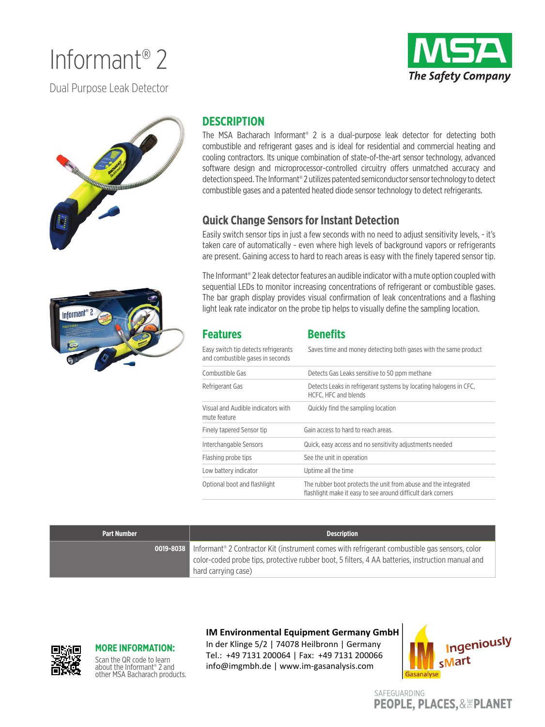# Informant® 2

**The Safety Company** 

Dual Purpose Leak Detector



### **DESCRIPTION**

The MSA Bacharach Informant® 2 is a dual-purpose leak detector for detecting both combustible and refrigerant gases and is ideal for residential and commercial heating and cooling contractors. Its unique combination of state-of-the-art sensor technology, advanced software design and microprocessor-controlled circuitry offers unmatched accuracy and detection speed. The Informant® 2 utilizes patented semiconductor sensor technology to detect combustible gases and a patented heated diode sensor technology to detect refrigerants.

### **Quick Change Sensors for Instant Detection**

Easily switch sensor tips in just a few seconds with no need to adjust sensitivity levels, - it's taken care of automatically - even where high levels of background vapors or refrigerants are present. Gaining access to hard to reach areas is easy with the finely tapered sensor tip.

The Informant® 2 leak detector features an audible indicator with a mute option coupled with sequential LEDs to monitor increasing concentrations of refrigerant or combustible gases. The bar graph display provides visual confirmation of leak concentrations and a flashing light leak rate indicator on the probe tip helps to visually define the sampling location.

| <b>Features</b>                                                          | <b>Benefits</b>                                                                                                                 |  |
|--------------------------------------------------------------------------|---------------------------------------------------------------------------------------------------------------------------------|--|
| Easy switch tip detects refrigerants<br>and combustible gases in seconds | Saves time and money detecting both gases with the same product                                                                 |  |
| Combustible Gas                                                          | Detects Gas Leaks sensitive to 50 ppm methane                                                                                   |  |
| Refrigerant Gas                                                          | Detects Leaks in refrigerant systems by locating halogens in CFC.<br>HCFC, HFC and blends                                       |  |
| Visual and Audible indicators with<br>mute feature                       | Quickly find the sampling location                                                                                              |  |
| Finely tapered Sensor tip                                                | Gain access to hard to reach areas.                                                                                             |  |
| Interchangable Sensors                                                   | Quick, easy access and no sensitivity adjustments needed                                                                        |  |
| Flashing probe tips                                                      | See the unit in operation                                                                                                       |  |
| Low battery indicator                                                    | Uptime all the time                                                                                                             |  |
| Optional boot and flashlight                                             | The rubber boot protects the unit from abuse and the integrated<br>flashlight make it easy to see around difficult dark corners |  |

| <b>Part Number</b> | <b>Description</b>                                                                                                                                                                                                                         |  |
|--------------------|--------------------------------------------------------------------------------------------------------------------------------------------------------------------------------------------------------------------------------------------|--|
|                    | <b>0019-8038</b> Informant® 2 Contractor Kit (instrument comes with refrigerant combustible gas sensors, color<br>color-coded probe tips, protective rubber boot, 5 filters, 4 AA batteries, instruction manual and<br>hard carrying case) |  |

### **MORE INFORMATION:**

Scan the QR code to learn about the Informant® 2 and other MSA Bacharach products.

### **IM Environmental Equipment Germany GmbH**

In der Klinge 5/2 | 74078 Heilbronn | Germany Tel.: +49 7131 200064 | Fax: +49 7131 200066 info@imgmbh.de | www.im-gasanalysis.com



SAFEGUARDING **PEOPLE, PLACES, & EPLANET**